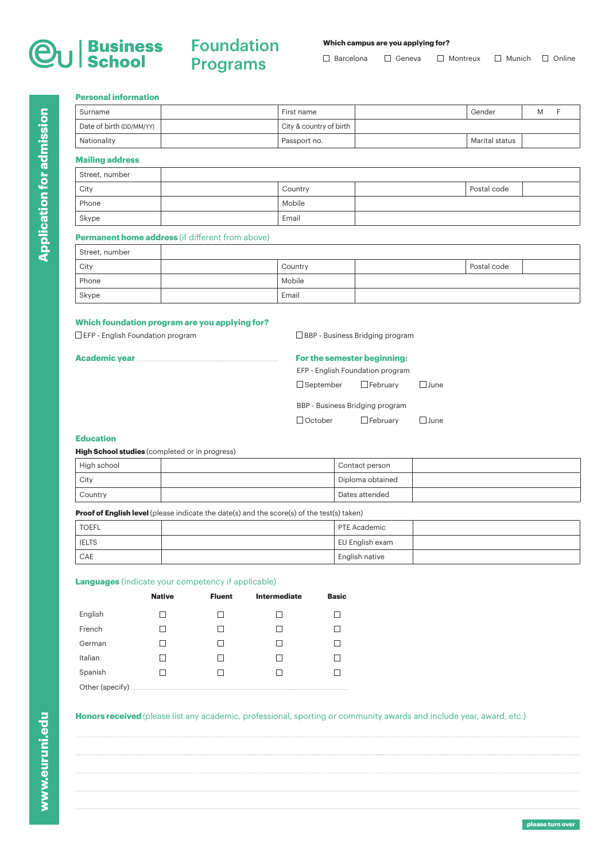# Foundation Programs

# **Which campus are you applying for?**

 $\Box$  Barcelona  $\Box$  Geneva  $\Box$  Montreux  $\Box$  Munich  $\Box$  Online

# **Personal information**

| Surname                  | First name              | Gender         | м |  |
|--------------------------|-------------------------|----------------|---|--|
| Date of birth (DD/MM/YY) | City & country of birth |                |   |  |
| Nationality              | Passport no.            | Marital status |   |  |
|                          |                         |                |   |  |

# **Mailing address**

| Street, number |         |             |  |
|----------------|---------|-------------|--|
| City           | Country | Postal code |  |
| Phone          | Mobile  |             |  |
| Skype          | Email   |             |  |

# **Permanent home address** (if different from above)

| Street, number |         |             |  |
|----------------|---------|-------------|--|
| City           | Country | Postal code |  |
| Phone          | Mobile  |             |  |
| Skype          | Email   |             |  |

# **Which foundation program are you applying for?**

 $\square$  EFP - English Foundation program  $\square$  BBP - Business Bridging program

| For the semester beginning:      |                                 |             |
|----------------------------------|---------------------------------|-------------|
| EFP - English Foundation program |                                 |             |
| $\Box$ September $\Box$ February |                                 | $\Box$ June |
|                                  | BBP - Business Bridging program |             |
| $\Box$ October                   | $\Box$ February                 | $\Box$ June |
|                                  |                                 |             |

## **Education**

# **High School studies** (completed or in progress)

| High school | Contact person   |  |
|-------------|------------------|--|
| City        | Diploma obtained |  |
| Country     | Dates attended   |  |

**Proof of English level** (please indicate the date(s) and the score(s) of the test(s) taken)

| <b>TOEFL</b> | <b>PTE Academic</b> |  |
|--------------|---------------------|--|
| <b>IELTS</b> | EU English exam     |  |
| CAE          | English native      |  |

# **Languages** (indicate your competency if applicable)

|         | <b>Native</b> | <b>Fluent</b> | <b>Intermediate</b> | <b>Basic</b> |
|---------|---------------|---------------|---------------------|--------------|
| English |               |               |                     |              |
| French  |               |               |                     |              |
| German  |               |               |                     |              |
| Italian |               |               |                     |              |
| Spanish |               |               |                     |              |
|         |               |               |                     |              |

# **Honors received** (please list any academic, professional, sporting or community awards and include year, award, etc.)